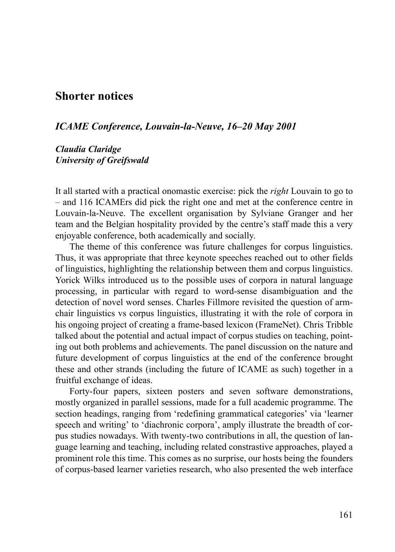## **Shorter notices**

## *ICAME Conference, Louvain-la-Neuve, 16–20 May 2001*

## *Claudia Claridge University of Greifswald*

It all started with a practical onomastic exercise: pick the *right* Louvain to go to – and 116 ICAMErs did pick the right one and met at the conference centre in Louvain-la-Neuve. The excellent organisation by Sylviane Granger and her team and the Belgian hospitality provided by the centre's staff made this a very enjoyable conference, both academically and socially.

The theme of this conference was future challenges for corpus linguistics. Thus, it was appropriate that three keynote speeches reached out to other fields of linguistics, highlighting the relationship between them and corpus linguistics. Yorick Wilks introduced us to the possible uses of corpora in natural language processing, in particular with regard to word-sense disambiguation and the detection of novel word senses. Charles Fillmore revisited the question of armchair linguistics vs corpus linguistics, illustrating it with the role of corpora in his ongoing project of creating a frame-based lexicon (FrameNet). Chris Tribble talked about the potential and actual impact of corpus studies on teaching, pointing out both problems and achievements. The panel discussion on the nature and future development of corpus linguistics at the end of the conference brought these and other strands (including the future of ICAME as such) together in a fruitful exchange of ideas.

Forty-four papers, sixteen posters and seven software demonstrations, mostly organized in parallel sessions, made for a full academic programme. The section headings, ranging from 'redefining grammatical categories' via 'learner speech and writing' to 'diachronic corpora', amply illustrate the breadth of corpus studies nowadays. With twenty-two contributions in all, the question of language learning and teaching, including related constrastive approaches, played a prominent role this time. This comes as no surprise, our hosts being the founders of corpus-based learner varieties research, who also presented the web interface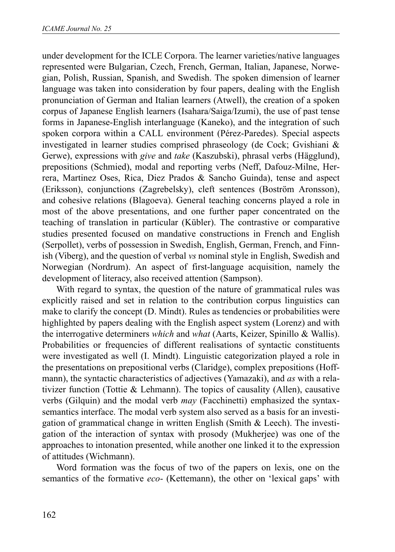under development for the ICLE Corpora. The learner varieties/native languages represented were Bulgarian, Czech, French, German, Italian, Japanese, Norwegian, Polish, Russian, Spanish, and Swedish. The spoken dimension of learner language was taken into consideration by four papers, dealing with the English pronunciation of German and Italian learners (Atwell), the creation of a spoken corpus of Japanese English learners (Isahara/Saiga/Izumi), the use of past tense forms in Japanese-English interlanguage (Kaneko), and the integration of such spoken corpora within a CALL environment (Pérez-Paredes). Special aspects investigated in learner studies comprised phraseology (de Cock; Gvishiani & Gerwe), expressions with *give* and *take* (Kaszubski), phrasal verbs (Hägglund), prepositions (Schmied), modal and reporting verbs (Neff, Dafouz-Milne, Herrera, Martinez Oses, Rica, Diez Prados & Sancho Guinda), tense and aspect (Eriksson), conjunctions (Zagrebelsky), cleft sentences (Boström Aronsson), and cohesive relations (Blagoeva). General teaching concerns played a role in most of the above presentations, and one further paper concentrated on the teaching of translation in particular (Kübler). The contrastive or comparative studies presented focused on mandative constructions in French and English (Serpollet), verbs of possession in Swedish, English, German, French, and Finnish (Viberg), and the question of verbal *vs* nominal style in English, Swedish and Norwegian (Nordrum). An aspect of first-language acquisition, namely the development of literacy, also received attention (Sampson).

With regard to syntax, the question of the nature of grammatical rules was explicitly raised and set in relation to the contribution corpus linguistics can make to clarify the concept (D. Mindt). Rules as tendencies or probabilities were highlighted by papers dealing with the English aspect system (Lorenz) and with the interrogative determiners *which* and *what* (Aarts, Keizer, Spinillo & Wallis). Probabilities or frequencies of different realisations of syntactic constituents were investigated as well (I. Mindt). Linguistic categorization played a role in the presentations on prepositional verbs (Claridge), complex prepositions (Hoffmann), the syntactic characteristics of adjectives (Yamazaki), and *as* with a relativizer function (Tottie & Lehmann). The topics of causality (Allen), causative verbs (Gilquin) and the modal verb *may* (Facchinetti) emphasized the syntaxsemantics interface. The modal verb system also served as a basis for an investigation of grammatical change in written English (Smith & Leech). The investigation of the interaction of syntax with prosody (Mukherjee) was one of the approaches to intonation presented, while another one linked it to the expression of attitudes (Wichmann).

Word formation was the focus of two of the papers on lexis, one on the semantics of the formative *eco*- (Kettemann), the other on 'lexical gaps' with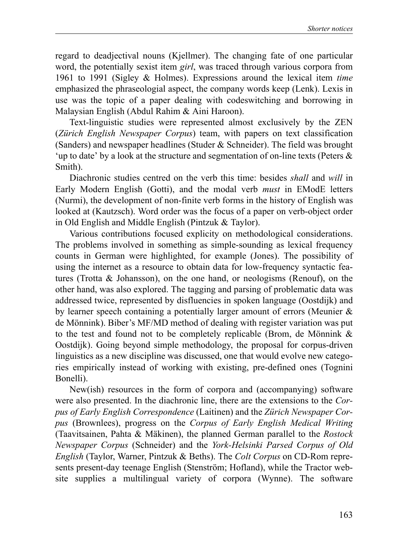regard to deadjectival nouns (Kjellmer). The changing fate of one particular word, the potentially sexist item *girl*, was traced through various corpora from 1961 to 1991 (Sigley & Holmes). Expressions around the lexical item *time* emphasized the phraseologial aspect, the company words keep (Lenk). Lexis in use was the topic of a paper dealing with codeswitching and borrowing in Malaysian English (Abdul Rahim & Aini Haroon).

Text-linguistic studies were represented almost exclusively by the ZEN (*Zürich English Newspaper Corpus*) team, with papers on text classification (Sanders) and newspaper headlines (Studer & Schneider). The field was brought 'up to date' by a look at the structure and segmentation of on-line texts (Peters & Smith).

Diachronic studies centred on the verb this time: besides *shall* and *will* in Early Modern English (Gotti), and the modal verb *must* in EModE letters (Nurmi), the development of non-finite verb forms in the history of English was looked at (Kautzsch). Word order was the focus of a paper on verb-object order in Old English and Middle English (Pintzuk & Taylor).

Various contributions focused explicity on methodological considerations. The problems involved in something as simple-sounding as lexical frequency counts in German were highlighted, for example (Jones). The possibility of using the internet as a resource to obtain data for low-frequency syntactic features (Trotta & Johansson), on the one hand, or neologisms (Renouf), on the other hand, was also explored. The tagging and parsing of problematic data was addressed twice, represented by disfluencies in spoken language (Oostdijk) and by learner speech containing a potentially larger amount of errors (Meunier & de Mönnink). Biber's MF/MD method of dealing with register variation was put to the test and found not to be completely replicable (Brom, de Mönnink & Oostdijk). Going beyond simple methodology, the proposal for corpus-driven linguistics as a new discipline was discussed, one that would evolve new categories empirically instead of working with existing, pre-defined ones (Tognini Bonelli).

New(ish) resources in the form of corpora and (accompanying) software were also presented. In the diachronic line, there are the extensions to the *Corpus of Early English Correspondence* (Laitinen) and the *Zürich Newspaper Corpus* (Brownlees), progress on the *Corpus of Early English Medical Writing* (Taavitsainen, Pahta & Mäkinen), the planned German parallel to the *Rostock Newspaper Corpus* (Schneider) and the *York-Helsinki Parsed Corpus of Old English* (Taylor, Warner, Pintzuk & Beths). The *Colt Corpus* on CD-Rom represents present-day teenage English (Stenström; Hofland), while the Tractor website supplies a multilingual variety of corpora (Wynne). The software